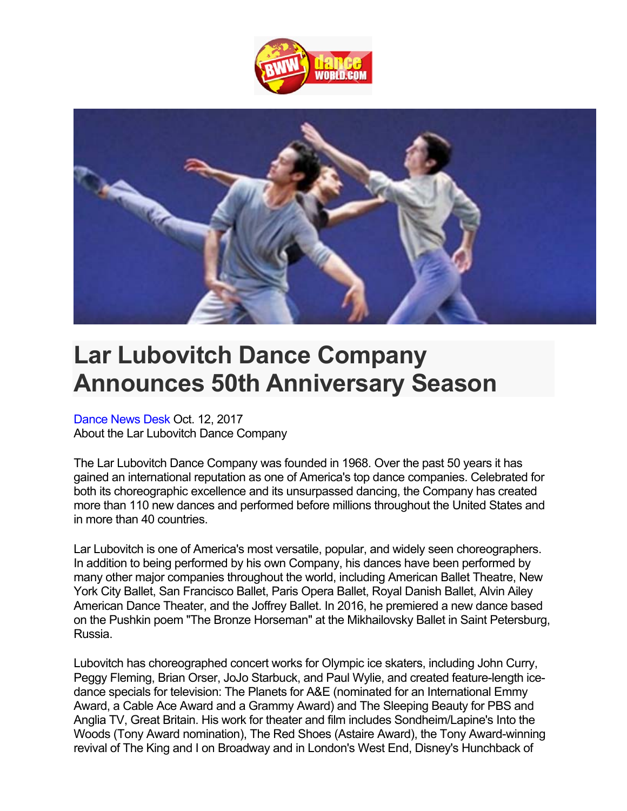



## **Lar Lubovitch Dance Company Announces 50th Anniversary Season**

Dance News Desk Oct. 12, 2017 About the Lar Lubovitch Dance Company

The Lar Lubovitch Dance Company was founded in 1968. Over the past 50 years it has gained an international reputation as one of America's top dance companies. Celebrated for both its choreographic excellence and its unsurpassed dancing, the Company has created more than 110 new dances and performed before millions throughout the United States and in more than 40 countries.

Lar Lubovitch is one of America's most versatile, popular, and widely seen choreographers. In addition to being performed by his own Company, his dances have been performed by many other major companies throughout the world, including American Ballet Theatre, New York City Ballet, San Francisco Ballet, Paris Opera Ballet, Royal Danish Ballet, Alvin Ailey American Dance Theater, and the Joffrey Ballet. In 2016, he premiered a new dance based on the Pushkin poem "The Bronze Horseman" at the Mikhailovsky Ballet in Saint Petersburg, Russia.

Lubovitch has choreographed concert works for Olympic ice skaters, including John Curry, Peggy Fleming, Brian Orser, JoJo Starbuck, and Paul Wylie, and created feature-length icedance specials for television: The Planets for A&E (nominated for an International Emmy Award, a Cable Ace Award and a Grammy Award) and The Sleeping Beauty for PBS and Anglia TV, Great Britain. His work for theater and film includes Sondheim/Lapine's Into the Woods (Tony Award nomination), The Red Shoes (Astaire Award), the Tony Award-winning revival of The King and I on Broadway and in London's West End, Disney's Hunchback of